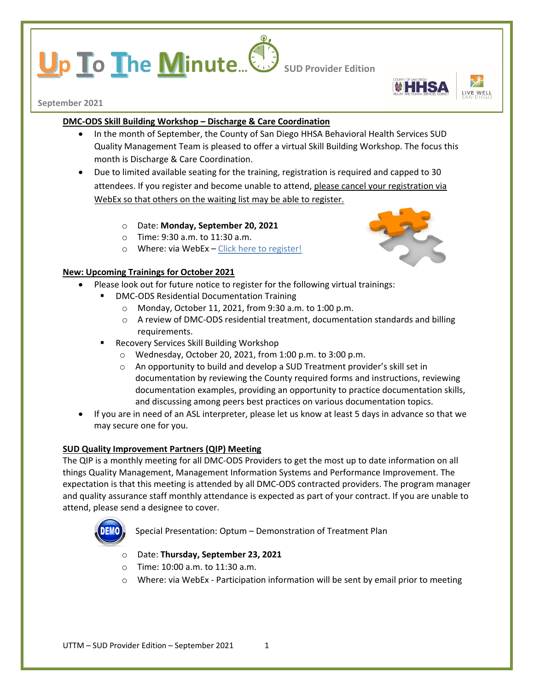# **p To The Minute...** Sub Provider Edition



**September 2021**

## **DMC-ODS Skill Building Workshop – Discharge & Care Coordination**

- In the month of September, the County of San Diego HHSA Behavioral Health Services SUD Quality Management Team is pleased to offer a virtual Skill Building Workshop. The focus this month is Discharge & Care Coordination.
- Due to limited available seating for the training, registration is required and capped to 30 attendees. If you register and become unable to attend, please cancel your registration via WebEx so that others on the waiting list may be able to register.
	- o Date: **Monday, September 20, 2021**
	- o Time: 9:30 a.m. to 11:30 a.m.
	- o Where: via WebEx [Click here to register!](https://sdcountyca.webex.com/mw3300/mywebex/default.do?service=7&main_url=%2Ftc3300%2Ftrainingcenter%2Fdefault.do%3Fsiteurl%3Dsdcountyca%26main_url%3D%252Ftc3300%252Fe.do%253FAT%253DMI%2526%2526Host%253DQUhTSwAAAAXSrdwufMNdUXD2_4NAg6W1lKrMsdpGl_lz2F_ashin32ErKW_y81KtOA2YbjMckLaalw4f8-Avq9p0rIwuqOMw0%2526MTID%253Dta20513f9383044410a47991d7627b45d%2526siteurl%253Dsdcountyca%2526confID%253D203827270959276546%2526ticket%253D4832534b00000005d397d9abc0e25803f0367433e0b27c36a2327aba59b9bf7cc24e1d2b5f70fd63&siteurl=sdcountyca)

## **New: Upcoming Trainings for October 2021**

- Please look out for future notice to register for the following virtual trainings:
	- DMC-ODS Residential Documentation Training
		- o Monday, October 11, 2021, from 9:30 a.m. to 1:00 p.m.
		- o A review of DMC-ODS residential treatment, documentation standards and billing requirements.
		- Recovery Services Skill Building Workshop
			- o Wednesday, October 20, 2021, from 1:00 p.m. to 3:00 p.m.
			- o An opportunity to build and develop a SUD Treatment provider's skill set in documentation by reviewing the County required forms and instructions, reviewing documentation examples, providing an opportunity to practice documentation skills, and discussing among peers best practices on various documentation topics.
- If you are in need of an ASL interpreter, please let us know at least 5 days in advance so that we may secure one for you.

## **SUD Quality Improvement Partners (QIP) Meeting**

The QIP is a monthly meeting for all DMC-ODS Providers to get the most up to date information on all things Quality Management, Management Information Systems and Performance Improvement. The expectation is that this meeting is attended by all DMC-ODS contracted providers. The program manager and quality assurance staff monthly attendance is expected as part of your contract. If you are unable to attend, please send a designee to cover.



Special Presentation: Optum – Demonstration of Treatment Plan

- o Date: **Thursday, September 23, 2021**
- o Time: 10:00 a.m. to 11:30 a.m.
- o Where: via WebEx Participation information will be sent by email prior to meeting

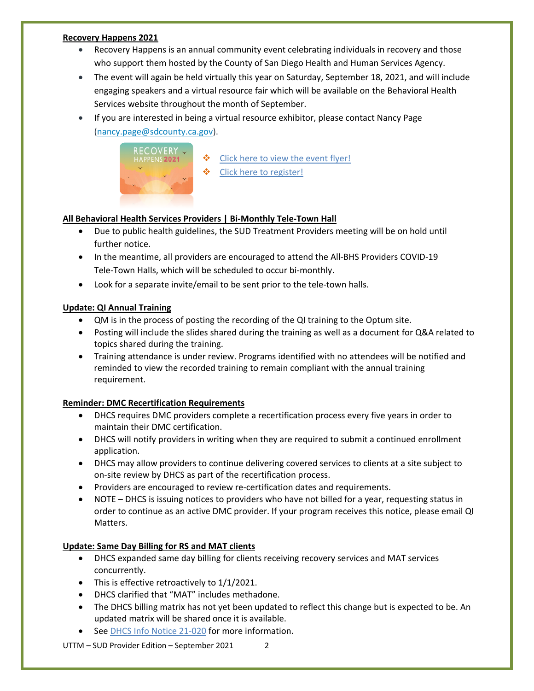#### **Recovery Happens 2021**

- Recovery Happens is an annual community event celebrating individuals in recovery and those who support them hosted by the County of San Diego Health and Human Services Agency.
- The event will again be held virtually this year on Saturday, September 18, 2021, and will include engaging speakers and a virtual resource fair which will be available on the Behavioral Health Services website throughout the month of September.
- If you are interested in being a virtual resource exhibitor, please contact Nancy Page [\(nancy.page@sdcounty.ca.gov\)](mailto:nancy.page@sdcounty.ca.gov).



- **❖** [Click here to view the event flyer!](https://www.sandiegocounty.gov/content/dam/sdc/hhsa/programs/bhs/pce/rh_save_the_date.pdf)
- ❖ [Click here to register!](https://us06web.zoom.us/meeting/register/tZMrdeCrrj8qGNeqFDUEv_Z1-FxepccwoVeP?_x_zm_rtaid=CuNBXhTWS6eoHaGEwZVU1Q.1626801279193.6c2a920e644fa244e21386f46650ef9a&_x_zm_rhtaid=567)

## **All Behavioral Health Services Providers | Bi-Monthly Tele-Town Hall**

- Due to public health guidelines, the SUD Treatment Providers meeting will be on hold until further notice.
- In the meantime, all providers are encouraged to attend the All-BHS Providers COVID-19 Tele-Town Halls, which will be scheduled to occur bi-monthly.
- Look for a separate invite/email to be sent prior to the tele-town halls.

## **Update: QI Annual Training**

- QM is in the process of posting the recording of the QI training to the Optum site.
- Posting will include the slides shared during the training as well as a document for Q&A related to topics shared during the training.
- Training attendance is under review. Programs identified with no attendees will be notified and reminded to view the recorded training to remain compliant with the annual training requirement.

#### **Reminder: DMC Recertification Requirements**

- DHCS requires DMC providers complete a recertification process every five years in order to maintain their DMC certification.
- DHCS will notify providers in writing when they are required to submit a continued enrollment application.
- DHCS may allow providers to continue delivering covered services to clients at a site subject to on-site review by DHCS as part of the recertification process.
- Providers are encouraged to review re-certification dates and requirements.
- NOTE DHCS is issuing notices to providers who have not billed for a year, requesting status in order to continue as an active DMC provider. If your program receives this notice, please email QI Matters.

#### **Update: Same Day Billing for RS and MAT clients**

- DHCS expanded same day billing for clients receiving recovery services and MAT services concurrently.
- This is effective retroactively to 1/1/2021.
- DHCS clarified that "MAT" includes methadone.
- The DHCS billing matrix has not yet been updated to reflect this change but is expected to be. An updated matrix will be shared once it is available.
- See [DHCS Info Notice 21-020](https://www.dhcs.ca.gov/Documents/BHIN-21-020-DMC-ODS-Clarification-on-Recovery-Services.pdf) for more information.

UTTM – SUD Provider Edition – September 2021 2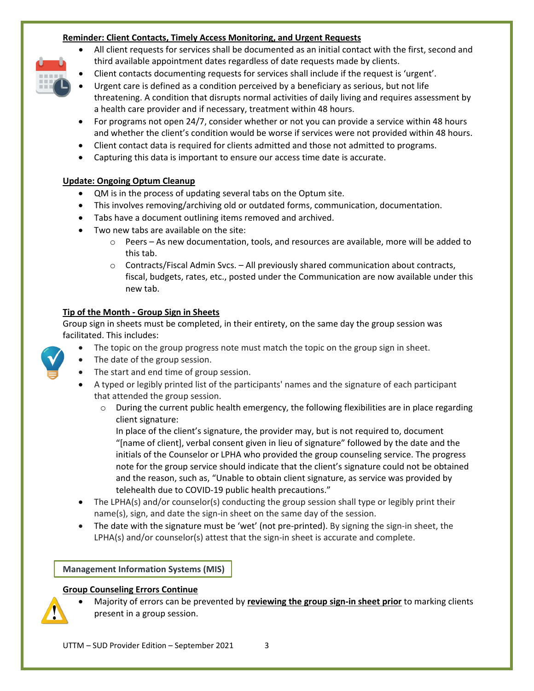## **Reminder: Client Contacts, Timely Access Monitoring, and Urgent Requests**

- All client requests for services shall be documented as an initial contact with the first, second and third available appointment dates regardless of date requests made by clients.
- Client contacts documenting requests for services shall include if the request is 'urgent'.
- Urgent care is defined as a condition perceived by a beneficiary as serious, but not life threatening. A condition that disrupts normal activities of daily living and requires assessment by a health care provider and if necessary, treatment within 48 hours.
- For programs not open 24/7, consider whether or not you can provide a service within 48 hours and whether the client's condition would be worse if services were not provided within 48 hours.
- Client contact data is required for clients admitted and those not admitted to programs.
- Capturing this data is important to ensure our access time date is accurate.

# **Update: Ongoing Optum Cleanup**

- QM is in the process of updating several tabs on the Optum site.
- This involves removing/archiving old or outdated forms, communication, documentation.
- Tabs have a document outlining items removed and archived.
- Two new tabs are available on the site:
	- o Peers As new documentation, tools, and resources are available, more will be added to this tab.
	- o Contracts/Fiscal Admin Svcs. All previously shared communication about contracts, fiscal, budgets, rates, etc., posted under the Communication are now available under this new tab.

# **Tip of the Month - Group Sign in Sheets**

Group sign in sheets must be completed, in their entirety, on the same day the group session was facilitated. This includes:

- The topic on the group progress note must match the topic on the group sign in sheet.
- The date of the group session.
- The start and end time of group session.
- A typed or legibly printed list of the participants' names and the signature of each participant that attended the group session.
	- o During the current public health emergency, the following flexibilities are in place regarding client signature:

In place of the client's signature, the provider may, but is not required to, document "[name of client], verbal consent given in lieu of signature" followed by the date and the initials of the Counselor or LPHA who provided the group counseling service. The progress note for the group service should indicate that the client's signature could not be obtained and the reason, such as, "Unable to obtain client signature, as service was provided by telehealth due to COVID-19 public health precautions."

- The LPHA(s) and/or counselor(s) conducting the group session shall type or legibly print their name(s), sign, and date the sign-in sheet on the same day of the session.
- The date with the signature must be 'wet' (not pre-printed). By signing the sign-in sheet, the LPHA(s) and/or counselor(s) attest that the sign-in sheet is accurate and complete.

**Management Information Systems (MIS)**

## **Group Counseling Errors Continue**

- 
- Majority of errors can be prevented by **reviewing the group sign-in sheet prior** to marking clients present in a group session.



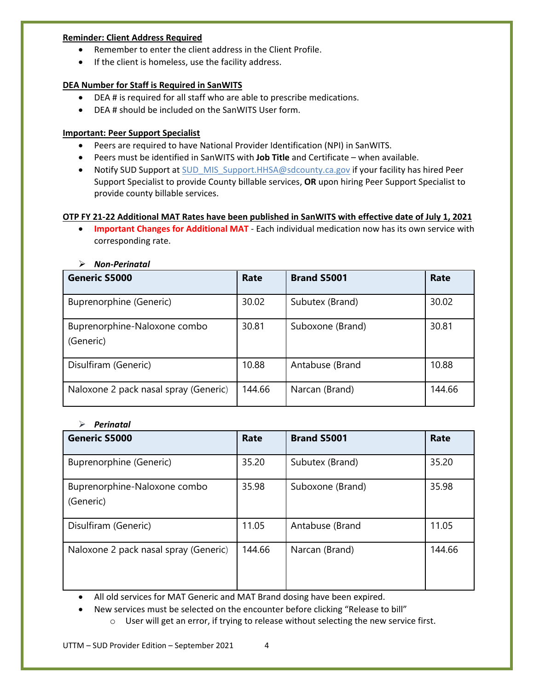#### **Reminder: Client Address Required**

- Remember to enter the client address in the Client Profile.
- If the client is homeless, use the facility address.

#### **DEA Number for Staff is Required in SanWITS**

- DEA # is required for all staff who are able to prescribe medications.
- DEA # should be included on the SanWITS User form.

## **Important: Peer Support Specialist**

- Peers are required to have National Provider Identification (NPI) in SanWITS.
- Peers must be identified in SanWITS with **Job Title** and Certificate when available.
- Notify SUD Support at SUD MIS Support.HHSA@sdcounty.ca.gov if your facility has hired Peer Support Specialist to provide County billable services, **OR** upon hiring Peer Support Specialist to provide county billable services.

## **OTP FY 21-22 Additional MAT Rates have been published in SanWITS with effective date of July 1, 2021**

• **Important Changes for Additional MAT** - Each individual medication now has its own service with corresponding rate.

| <b>Generic S5000</b>                      | Rate   | <b>Brand S5001</b> | Rate   |
|-------------------------------------------|--------|--------------------|--------|
| Buprenorphine (Generic)                   | 30.02  | Subutex (Brand)    | 30.02  |
| Buprenorphine-Naloxone combo<br>(Generic) | 30.81  | Suboxone (Brand)   | 30.81  |
| Disulfiram (Generic)                      | 10.88  | Antabuse (Brand    | 10.88  |
| Naloxone 2 pack nasal spray (Generic)     | 144.66 | Narcan (Brand)     | 144.66 |

*Non-Perinatal*

#### *Perinatal*

| <b>Generic S5000</b>                      | Rate   | <b>Brand S5001</b> | Rate   |
|-------------------------------------------|--------|--------------------|--------|
| Buprenorphine (Generic)                   | 35.20  | Subutex (Brand)    | 35.20  |
| Buprenorphine-Naloxone combo<br>(Generic) | 35.98  | Suboxone (Brand)   | 35.98  |
| Disulfiram (Generic)                      | 11.05  | Antabuse (Brand    | 11.05  |
| Naloxone 2 pack nasal spray (Generic)     | 144.66 | Narcan (Brand)     | 144.66 |

• All old services for MAT Generic and MAT Brand dosing have been expired.

• New services must be selected on the encounter before clicking "Release to bill"

o User will get an error, if trying to release without selecting the new service first.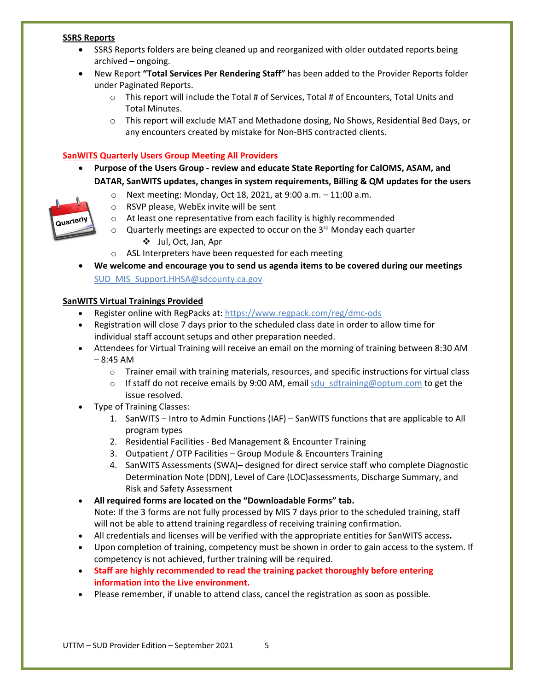#### **SSRS Reports**

- SSRS Reports folders are being cleaned up and reorganized with older outdated reports being archived – ongoing.
- New Report **"Total Services Per Rendering Staff"** has been added to the Provider Reports folder under Paginated Reports.
	- $\circ$  This report will include the Total # of Services, Total # of Encounters, Total Units and Total Minutes.
	- o This report will exclude MAT and Methadone dosing, No Shows, Residential Bed Days, or any encounters created by mistake for Non-BHS contracted clients.

## **SanWITS Quarterly Users Group Meeting All Providers**

- **Purpose of the Users Group - review and educate State Reporting for CalOMS, ASAM, and DATAR, SanWITS updates, changes in system requirements, Billing & QM updates for the users**
	- o Next meeting: Monday, Oct 18, 2021, at 9:00 a.m. 11:00 a.m.
	- o RSVP please, WebEx invite will be sent



- o Quarterly meetings are expected to occur on the 3rd Monday each quarter Jul, Oct, Jan, Apr
- o ASL Interpreters have been requested for each meeting
- **We welcome and encourage you to send us agenda items to be covered during our meetings** [SUD\\_MIS\\_Support.HHSA@sdcounty.ca.gov](mailto:SUD_MIS_Support.HHSA@sdcounty.ca.gov)

#### **SanWITS Virtual Trainings Provided**

- Register online with RegPacks at: <https://www.regpack.com/reg/dmc-ods>
- Registration will close 7 days prior to the scheduled class date in order to allow time for individual staff account setups and other preparation needed.
- Attendees for Virtual Training will receive an email on the morning of training between 8:30 AM  $-8:45$  AM
	- $\circ$  Trainer email with training materials, resources, and specific instructions for virtual class
	- $\circ$  If staff do not receive emails by 9:00 AM, email sdu sdtraining@optum.com to get the issue resolved.
- Type of Training Classes:
	- 1. SanWITS Intro to Admin Functions (IAF) SanWITS functions that are applicable to All program types
	- 2. Residential Facilities Bed Management & Encounter Training
	- 3. Outpatient / OTP Facilities Group Module & Encounters Training
	- 4. SanWITS Assessments (SWA)– designed for direct service staff who complete Diagnostic Determination Note (DDN), Level of Care (LOC)assessments, Discharge Summary, and Risk and Safety Assessment

• **All required forms are located on the "Downloadable Forms" tab.** Note: If the 3 forms are not fully processed by MIS 7 days prior to the scheduled training, staff will not be able to attend training regardless of receiving training confirmation.

- All credentials and licenses will be verified with the appropriate entities for SanWITS access**.**
- Upon completion of training, competency must be shown in order to gain access to the system. If competency is not achieved, further training will be required.
- **Staff are highly recommended to read the training packet thoroughly before entering information into the Live environment.**
- Please remember, if unable to attend class, cancel the registration as soon as possible.

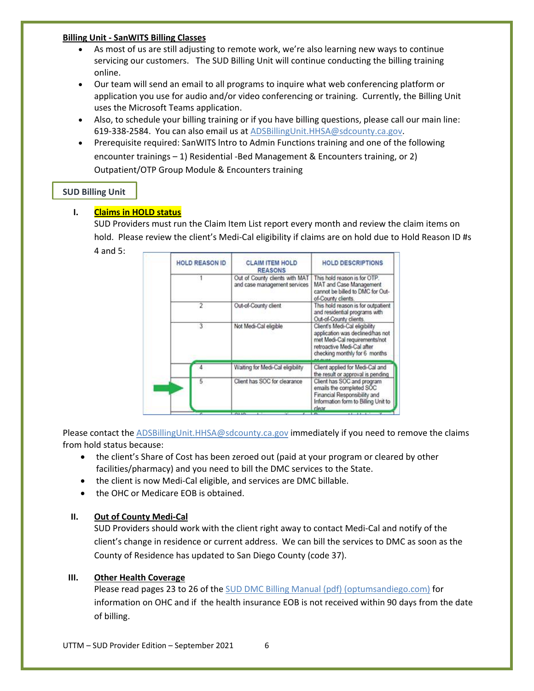#### **Billing Unit - SanWITS Billing Classes**

- As most of us are still adjusting to remote work, we're also learning new ways to continue servicing our customers. The SUD Billing Unit will continue conducting the billing training online.
- Our team will send an email to all programs to inquire what web conferencing platform or application you use for audio and/or video conferencing or training. Currently, the Billing Unit uses the Microsoft Teams application.
- Also, to schedule your billing training or if you have billing questions, please call our main line: 619-338-2584. You can also email us at [ADSBillingUnit.HHSA@sdcounty.ca.gov.](mailto:ADSBillingUnit.HHSA@sdcounty.ca.gov)
- Prerequisite required: SanWITS lntro to Admin Functions training and one of the following encounter trainings – 1) Residential -Bed Management & Encounters training, or 2) Outpatient/OTP Group Module & Encounters training

## **SUD Billing Unit**

## **I. Claims in HOLD status**

SUD Providers must run the Claim Item List report every month and review the claim items on hold. Please review the client's Medi-Cal eligibility if claims are on hold due to Hold Reason ID #s 4 and 5:

|  | <b>HOLD REASON ID</b> | <b>CLAIM ITEM HOLD</b><br><b>REASONS</b>                       | <b>HOLD DESCRIPTIONS</b>                                                                                                                                          |  |
|--|-----------------------|----------------------------------------------------------------|-------------------------------------------------------------------------------------------------------------------------------------------------------------------|--|
|  |                       | Out of County clients with MAT<br>and case management services | This hold reason is for OTP.<br>MAT and Case Management<br>cannot be billed to DMC for Out-<br>of-County clients.                                                 |  |
|  |                       | Out-of-County client                                           | This hold reason is for outpatient<br>and residential programs with<br>Out-of-County clients.                                                                     |  |
|  | 3                     | Not Medi-Cal eligible                                          | Client's Medi-Cal eligibility<br>application was declined/has not<br>met Medi-Cal requirements/not<br>retroactive Medi-Cal after<br>checking monthly for 6 months |  |
|  |                       | Waiting for Medi-Cal eligibility                               | Client applied for Medi-Cal and<br>the result or approval is pending                                                                                              |  |
|  | 5                     | Client has SOC for clearance                                   | Client has SOC and program<br>emails the completed SOC<br>Financial Responsibility and<br>Information form to Billing Unit to<br>clear                            |  |

Please contact th[e ADSBillingUnit.HHSA@sdcounty.ca.gov](mailto:ADSBillingUnit.HHSA@sdcounty.ca.gov) immediately if you need to remove the claims from hold status because:

- the client's Share of Cost has been zeroed out (paid at your program or cleared by other facilities/pharmacy) and you need to bill the DMC services to the State.
- the client is now Medi-Cal eligible, and services are DMC billable.
- the OHC or Medicare EOB is obtained.

## **II. Out of County Medi-Cal**

SUD Providers should work with the client right away to contact Medi-Cal and notify of the client's change in residence or current address. We can bill the services to DMC as soon as the County of Residence has updated to San Diego County (code 37).

## **III. Other Health Coverage**

Please read pages 23 to 26 of the [SUD DMC Billing Manual \(pdf\) \(optumsandiego.com\)](https://www.optumsandiego.com/content/dam/san-diego/documents/dmc-ods/billing/DMC%20ORGANIZATIONAL%20PROVIDERS%20BILLING%20MANUAL_revised%20102020.pdf) for information on OHC and if the health insurance EOB is not received within 90 days from the date of billing.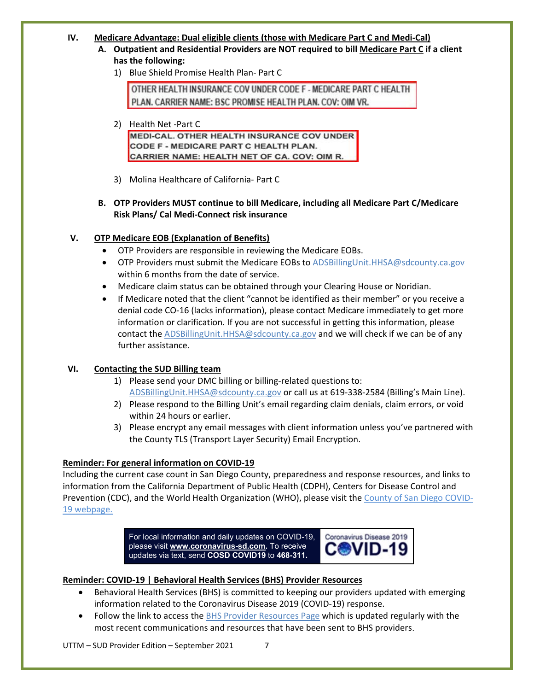#### **IV. Medicare Advantage: Dual eligible clients (those with Medicare Part C and Medi-Cal)**

- **A. Outpatient and Residential Providers are NOT required to bill Medicare Part C if a client has the following:**
	- 1) Blue Shield Promise Health Plan- Part C

OTHER HEALTH INSURANCE COV UNDER CODE F - MEDICARE PART C HEALTH PLAN. CARRIER NAME: BSC PROMISE HEALTH PLAN. COV: OIM VR.

## 2) Health Net -Part C

MEDI-CAL, OTHER HEALTH INSURANCE COV UNDER CODE F - MEDICARE PART C HEALTH PLAN. CARRIER NAME: HEALTH NET OF CA. COV: OIM R.

- 3) Molina Healthcare of California- Part C
- **B. OTP Providers MUST continue to bill Medicare, including all Medicare Part C/Medicare Risk Plans/ Cal Medi-Connect risk insurance**

## **V. OTP Medicare EOB (Explanation of Benefits)**

- OTP Providers are responsible in reviewing the Medicare EOBs.
- OTP Providers must submit the Medicare EOBs to [ADSBillingUnit.HHSA@sdcounty.ca.gov](mailto:ADSBillingUnit.HHSA@sdcounty.ca.gov) within 6 months from the date of service.
- Medicare claim status can be obtained through your Clearing House or Noridian.
- If Medicare noted that the client "cannot be identified as their member" or you receive a denial code CO-16 (lacks information), please contact Medicare immediately to get more information or clarification. If you are not successful in getting this information, please contact th[e ADSBillingUnit.HHSA@sdcounty.ca.gov](mailto:ADSBillingUnit.HHSA@sdcounty.ca.gov) and we will check if we can be of any further assistance.

## **VI. Contacting the SUD Billing team**

- 1) Please send your DMC billing or billing-related questions to: [ADSBillingUnit.HHSA@sdcounty.ca.gov](mailto:ADSBillingUnit.HHSA@sdcounty.ca.gov) or call us at 619-338-2584 (Billing's Main Line).
- 2) Please respond to the Billing Unit's email regarding claim denials, claim errors, or void within 24 hours or earlier.
- 3) Please encrypt any email messages with client information unless you've partnered with the County TLS (Transport Layer Security) Email Encryption.

#### **Reminder: For general information on COVID-19**

Including the current case count in San Diego County, preparedness and response resources, and links to information from the California Department of Public Health (CDPH), Centers for Disease Control and Prevention (CDC), and the World Health Organization (WHO), please visit th[e County of San Diego COVID-](https://www.sandiegocounty.gov/coronavirus.html)[19 webpage.](https://www.sandiegocounty.gov/coronavirus.html)

> For local information and daily updates on COVID-19, Coronavirus Disease 2019 please visit **[www.coronavirus-sd.com.](http://www.coronavirus-sd.com/)** To receive updates via text, send **COSD COVID19** to **468-311.**

#### **Reminder: COVID-19 | Behavioral Health Services (BHS) Provider Resources**

- Behavioral Health Services (BHS) is committed to keeping our providers updated with emerging information related to the Coronavirus Disease 2019 (COVID-19) response.
- Follow the link to access the [BHS Provider Resources Page](https://www.sandiegocounty.gov/content/sdc/hhsa/programs/bhs/BHSCOVID19Information.html?cq_ck=1584750268972.html) which is updated regularly with the most recent communications and resources that have been sent to BHS providers.

UTTM – SUD Provider Edition – September 2021 7